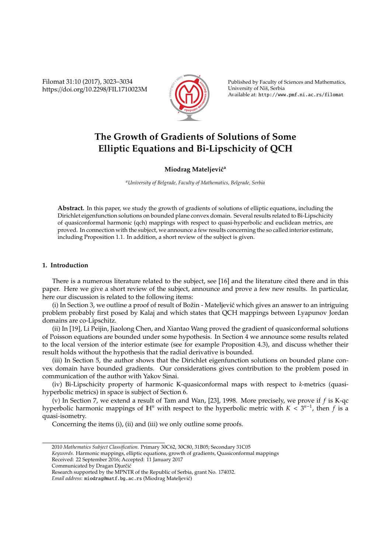Filomat 31:10 (2017), 3023–3034 https://doi.org/10.2298/FIL1710023M



Published by Faculty of Sciences and Mathematics, University of Niš, Serbia Available at: http://www.pmf.ni.ac.rs/filomat

# **The Growth of Gradients of Solutions of Some Elliptic Equations and Bi-Lipschicity of QCH**

## **Miodrag Mateljević**<sup>a</sup>

*<sup>a</sup>University of Belgrade, Faculty of Mathematics, Belgrade, Serbia*

**Abstract.** In this paper, we study the growth of gradients of solutions of elliptic equations, including the Dirichlet eigenfunction solutions on bounded plane convex domain. Several results related to Bi-Lipschicity of quasiconformal harmonic (qch) mappings with respect to quasi-hyperbolic and euclidean metrics, are proved. In connection with the subject, we announce a few results concerning the so called interior estimate, including Proposition 1.1. In addition, a short review of the subject is given.

#### **1. Introduction**

There is a numerous literature related to the subject, see [16] and the literature cited there and in this paper. Here we give a short review of the subject, announce and prove a few new results. In particular, here our discussion is related to the following items:

(i) In Section 3, we outline a proof of result of Božin - Mateljević which gives an answer to an intriguing problem probably first posed by Kalaj and which states that QCH mappings between Lyapunov Jordan domains are co-Lipschitz.

(ii) In [19], Li Peijin, Jiaolong Chen, and Xiantao Wang proved the gradient of quasiconformal solutions of Poisson equations are bounded under some hypothesis. In Section 4 we announce some results related to the local version of the interior estimate (see for example Proposition 4.3), and discuss whether their result holds without the hypothesis that the radial derivative is bounded.

(iii) In Section 5, the author shows that the Dirichlet eigenfunction solutions on bounded plane convex domain have bounded gradients. Our considerations gives contribution to the problem posed in communication of the author with Yakov Sinai.

(iv) Bi-Lipschicity property of harmonic K-quasiconformal maps with respect to *k*-metrics (quasihyperbolic metrics) in space is subject of Section 6.

(v) In Section 7, we extend a result of Tam and Wan, [23], 1998. More precisely, we prove if *f* is K-qc hyperbolic harmonic mappings of  $\mathbb{H}^n$  with respect to the hyperbolic metric with  $K < 3^{n-1}$ , then f is a quasi-isometry.

Concerning the items (i), (ii) and (iii) we only outline some proofs.

*Keywords*. Harmonic mappings, elliptic equations, growth of gradients, Quasiconformal mappings

- Received: 22 September 2016; Accepted: 11 January 2017
- Communicated by Dragan Djurčić

<sup>2010</sup> *Mathematics Subject Classification*. Primary 30C62, 30C80, 31B05; Secondary 31C05

Research supported by the MPNTR of the Republic of Serbia, grant No. 174032.

*Email address:* miodrag@matf.bg.ac.rs (Miodrag Mateljevic)´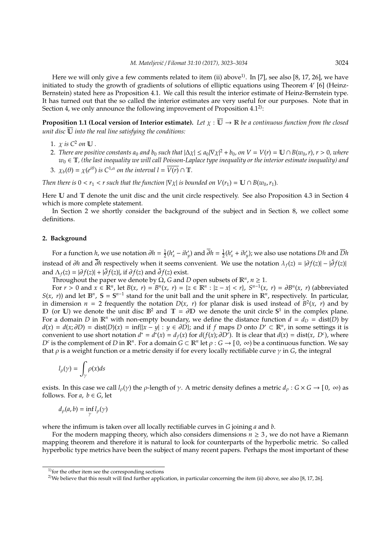Here we will only give a few comments related to item (ii) above<sup>1)</sup>. In [7], see also [8, 17, 26], we have initiated to study the growth of gradients of solutions of elliptic equations using Theorem 4' [6] (Heinz-Bernstein) stated here as Proposition 4.1. We call this result the interior estimate of Heinz-Bernstein type. It has turned out that the so called the interior estimates are very useful for our purposes. Note that in Section 4, we only announce the following improvement of Proposition  $4.1<sup>2</sup>$ :

**Proposition 1.1 (Local version of Interior estimate).** Let  $\chi : \overline{U} \to \mathbb{R}$  be a continuous function from the closed *unit disc*  $\overline{\mathbb{U}}$  *into the real line satisfying the conditions:* 

- 1.  $\chi$  is  $C^2$  on  $\mathbb U$ .
- 2. *There are positive constants*  $a_0$  *and*  $b_0$  *such that*  $|\Delta \chi| \le a_0 |\nabla \chi|^2 + b_0$ , on  $V = V(r) = \mathbb{U} \cap B(w_0, r)$ ,  $r > 0$ , where  $w_0 \in \mathbb{T}$ , (the last inequality we will call Poisson-Laplace type inequality or the interior estimate inequality) and
- 3.  $\chi_b(\theta) = \chi(e^{i\theta})$  *is*  $C^{1,\alpha}$  *on the interval*  $l = \overline{V(r)} \cap \mathbb{T}$ *.*

*Then there is*  $0 < r_1 < r$  *such that the function*  $|\nabla \chi|$  *is bounded on*  $V(r_1) = \mathbb{U} \cap B(w_0, r_1)$ *.* 

Here U and T denote the unit disc and the unit circle respectively. See also Proposition 4.3 in Section 4 which is more complete statement.

In Section 2 we shortly consider the background of the subject and in Section 8, we collect some definitions.

#### **2. Background**

For a function *h*, we use notation  $\partial h = \frac{1}{2}(h'_x - ih'_y)$  and  $\overline{\partial} h = \frac{1}{2}(h'_x + ih'_y)$ ; we also use notations *Dh* and  $\overline{D}h$ instead of  $\partial h$  and  $\overline{\partial} h$  respectively when it seems convenient. We use the notation  $\lambda_f(z) = |\partial f(z)| - |\overline{\partial} f(z)|$ and  $\Lambda_f(z) = |\partial f(z)| + |\bar{\partial} f(z)|$ , if  $\partial f(z)$  and  $\bar{\partial} f(z)$  exist.

Throughout the paper we denote by  $\Omega$ , *G* and *D* open subsets of  $\mathbb{R}^n$ ,  $n \geq 1$ .

For  $r > 0$  and  $x \in \mathbb{R}^n$ , let  $B(x, r) = B^n(x, r) = \{z \in \mathbb{R}^n : |z - x| < r\}$ ,  $S^{n-1}(x, r) = \partial B^n(x, r)$  (abbreviated *S*(*x*, *r*)) and let  $\mathbb{B}^n$ ,  $\mathbb{S} = \mathbb{S}^{n-1}$  stand for the unit ball and the unit sphere in  $\mathbb{R}^n$ , respectively. In particular, in dimension  $n = 2$  frequently the notation  $D(x, r)$  for planar disk is used instead of  $B^2(x, r)$  and by D (or U) we denote the unit disc  $\mathbb{B}^2$  and  $\mathbb{T} = \partial \mathbb{D}$  we denote the unit circle  $\mathbb{S}^1$  in the complex plane. For a domain *D* in  $\mathbb{R}^n$  with non-empty boundary, we define the distance function  $d = d_D = \text{dist}(D)$  by  $d(x) = d(x; \partial D) = \text{dist}(D)(x) = \inf\{|x - y| : y \in \partial D\}$ ; and if *f* maps *D* onto  $D' \subset \mathbb{R}^n$ , in some settings it is convenient to use short notation  $d^* = d^*(x) = d_f(x)$  for  $d(f(x); \partial D')$ . It is clear that  $d(x) = dist(x, D^c)$ , where *D*<sup>*c*</sup> is the complement of *D* in  $\mathbb{R}^n$ . For a domain  $G \subset \mathbb{R}^n$  let  $\rho : G \to [0, \infty)$  be a continuous function. We say that  $\rho$  is a weight function or a metric density if for every locally rectifiable curve  $\gamma$  in *G*, the integral

$$
l_\rho(\gamma)=\int_\gamma \rho(x)ds
$$

exists. In this case we call  $l_0(y)$  the *ρ*-length of *γ*. A metric density defines a metric  $d_0$ :  $G \times G \rightarrow [0, \infty)$  as follows. For  $a, b \in G$ , let

$$
d_{\rho}(a,b)=\inf_{\gamma}l_{\rho}(\gamma)
$$

where the infimum is taken over all locally rectifiable curves in *G* joining *a* and *b*.

For the modern mapping theory, which also considers dimensions  $n \geq 3$ , we do not have a Riemann mapping theorem and therefore it is natural to look for counterparts of the hyperbolic metric. So called hyperbolic type metrics have been the subject of many recent papers. Perhaps the most important of these

 $<sup>1</sup>$  for the other item see the corresponding sections</sup>

<sup>&</sup>lt;sup>2)</sup>We believe that this result will find further application, in particular concerning the item (ii) above, see also [8, 17, 26].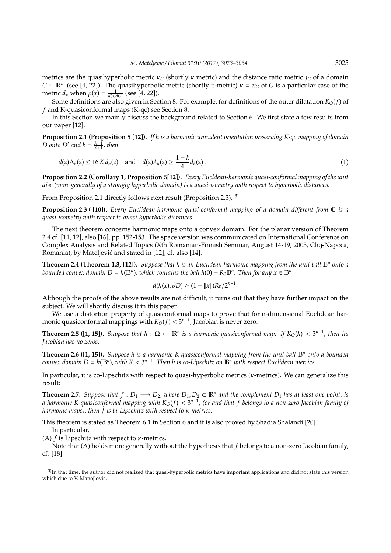metrics are the quasihyperbolic metric  $\kappa_G$  (shortly  $\kappa$  metric) and the distance ratio metric  $j_G$  of a domain *G*  $\subset$   $\mathbb{R}^n$  (see [4, 22]). The quasihyperbolic metric (shortly *κ*-metric)  $\kappa$  =  $\kappa$ <sub>*G*</sub> of *G* is a particular case of the metric  $d_{\rho}$  when  $\rho(x) = \frac{1}{d(x, \partial G)}$  (see [4, 22]).

Some definitions are also given in Section 8. For example, for definitions of the outer dilatation *KO*(*f*) of *f* and K-quasiconformal maps (K-qc) see Section 8.

In this Section we mainly discuss the background related to Section 6. We first state a few results from our paper [12].

**Proposition 2.1 (Proposition 5 [12]).** *If h is a harmonic univalent orientation preserving K-qc mapping of domain D onto D*<sup> $\prime$ </sup> *and*  $k = \frac{K-1}{K+1}$ *, then* 

$$
d(z)\Lambda_h(z) \le 16 K d_h(z) \quad \text{and} \quad d(z)\lambda_h(z) \ge \frac{1-k}{4} d_h(z).
$$
 (1)

**Proposition 2.2 (Corollary 1, Proposition 5[12]).** *Every Eucldean-harmonic quasi-conformal mapping of the unit disc (more generally of a strongly hyperbolic domain) is a quasi-isometry with respect to hyperbolic distances.*

From Proposition 2.1 directly follows next result (Proposition 2.3). 3)

**Proposition 2.3 ( [10]).** *Every Euclidean-harmonic quasi-conformal mapping of a domain di*ff*erent from* C *is a quasi-isometry with respect to quasi-hyperbolic distances.*

The next theorem concerns harmonic maps onto a convex domain. For the planar version of Theorem 2.4 cf. [11, 12], also [16], pp. 152-153. The space version was communicated on International Conference on Complex Analysis and Related Topics (Xth Romanian-Finnish Seminar, August 14-19, 2005, Cluj-Napoca, Romania), by Mateljević and stated in [12], cf. also [14].

**Theorem 2.4 (Theorem 1.3, [12]).** *Suppose that h is an Euclidean harmonic mapping from the unit ball* B*<sup>n</sup> onto a bounded convex domain D* = *h*( $\mathbb{B}^n$ ), which contains the ball *h*(0) +  $R_0\mathbb{B}^n$ . Then for any  $x \in \mathbb{B}^n$ 

$$
d(h(x),\partial D) \ge (1 - ||x||)R_0/2^{n-1}.
$$

Although the proofs of the above results are not difficult, it turns out that they have further impact on the subject. We will shortly discuss it in this paper.

We use a distortion property of quasiconformal maps to prove that for n-dimensional Euclidean harmonic quasiconformal mappings with  $K_O(f) < 3^{n-1}$ , Jacobian is never zero.

**Theorem 2.5 ([1, 15]).** *Suppose that*  $h: \Omega \mapsto \mathbb{R}^n$  *is a harmonic quasiconformal map.* If  $K_O(h) < 3^{n-1}$ *, then its Jacobian has no zeros.*

**Theorem 2.6 ([1, 15]).** Suppose h is a harmonic K-quasiconformal mapping from the unit ball  $\mathbb{B}^n$  onto a bounded *convex domain D* = *h*(B*<sup>n</sup>* )*, with K* < 3 *n*−1 *. Then h is co-Lipschitz on* B*<sup>n</sup> with respect Euclidean metrics.*

In particular, it is co-Lipschitz with respect to quasi-hyperbolic metrics (κ-metrics). We can generalize this result:

**Theorem 2.7.** *Suppose that*  $f: D_1 \longrightarrow D_2$ , where  $D_1, D_2 \subset \mathbb{R}^n$  and the complement  $D_1$  has at least one point, is *a harmonic K-quasiconformal mapping with KO*(*f*) < 3 *n*−1 *, (or and that f belongs to a non-zero Jacobian family of harmonic maps), then f is bi-Lipschitz with respect to* κ*-metrics.*

This theorem is stated as Theorem 6.1 in Section 6 and it is also proved by Shadia Shalandi [20]. In particular,

(A)  $f$  is Lipschitz with respect to  $\kappa$ -metrics.

Note that (A) holds more generally without the hypothesis that *f* belongs to a non-zero Jacobian family, cf. [18].

<sup>&</sup>lt;sup>3)</sup>In that time, the author did not realized that quasi-hyperbolic metrics have important applications and did not state this version which due to V. Manojlovic.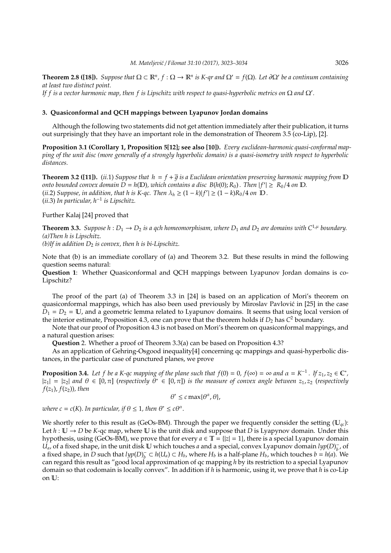**Theorem 2.8 ([18]).** *Suppose that*  $\Omega \subset \mathbb{R}^n$ ,  $f : \Omega \to \mathbb{R}^n$  *is K-qr and*  $\Omega' = f(\Omega)$ *. Let*  $\partial\Omega'$  *be a continum containing at least two distinct point.*

*If f is a vector harmonic map, then f is Lipschitz with respect to quasi-hyperbolic metrics on*  $\Omega$  *and*  $\Omega'$ *.* 

## **3. Quasiconformal and QCH mappings between Lyapunov Jordan domains**

Although the following two statements did not get attention immediately after their publication, it turns out surprisingly that they have an important role in the demonstration of Theorem 3.5 (co-Lip), [2].

**Proposition 3.1 (Corollary 1, Proposition 5[12]; see also [10]).** *Every euclidean-harmonic quasi-conformal mapping of the unit disc (more generally of a strongly hyperbolic domain) is a quasi-isometry with respect to hyperbolic distances.*

**Theorem 3.2 ([11]).** (*ii.1*) *Suppose that*  $h = f + \overline{q}$  *is a Euclidean orientation preserving harmonic mapping from*  $D$ *onto bounded convex domain*  $D = h(D)$ , which contains a disc  $B(h(0); R_0)$  . Then  $|f'| \ge R_0/4$  on  $D$ . (*ii*.2) *Suppose, in addition, that h is K-qc. Then*  $\lambda_h \geq (1 - k)|f'| \geq (1 - k)R_0/4$  *on*  $\overline{D}$ *.* (*ii*.3) *In particular, h*−<sup>1</sup> *is Lipschitz.*

Further Kalaj [24] proved that

**Theorem 3.3.** *Suppose h* :  $D_1 \rightarrow D_2$  *is a qch homeomorphisam, where*  $D_1$  *and*  $D_2$  *are domains with*  $C^{1,\mu}$  *boundary. (a)Then h is Lipschitz.*

*(b)If in addition*  $D_2$  *is convex, then h is bi-Lipschitz.* 

Note that (b) is an immediate corollary of (a) and Theorem 3.2. But these results in mind the following question seems natural:

**Question 1**: Whether Quasiconformal and QCH mappings between Lyapunov Jordan domains is co-Lipschitz?

The proof of the part (a) of Theorem 3.3 in [24] is based on an application of Mori's theorem on quasiconformal mappings, which has also been used previously by Miroslav Pavlovic in [25] in the case ´  $D_1 = D_2 = U$ , and a geometric lemma related to Lyapunov domains. It seems that using local version of the interior estimate, Proposition 4.3, one can prove that the theorem holds if  $D_2$  has  $C^2$  boundary.

Note that our proof of Proposition 4.3 is not based on Mori's theorem on quasiconformal mappings, and a natural question arises:

**Question** 2. Whether a proof of Theorem 3.3(a) can be based on Proposition 4.3?

As an application of Gehring-Osgood inequality[4] concerning qc mappings and quasi-hyperbolic distances, in the particular case of punctured planes, we prove

**Proposition 3.4.** Let f be a K-qc mapping of the plane such that  $f(0) = 0$ ,  $f(\infty) = \infty$  and  $\alpha = K^{-1}$ . If  $z_1, z_2 \in \mathbb{C}^*$ ,  $|z_1| = |z_2|$  and  $\theta \in [0, \pi]$  (respectively  $\theta^* \in [0, \pi]$ ) is the measure of convex angle between  $z_1, z_2$  (respectively *f*( $z_1$ ),  $f(z_2)$ ), then

$$
\theta^* \leq c \max\{\theta^\alpha, \theta\},
$$

where  $c = c(K)$ . In particular, if  $\theta \leq 1$ , then  $\theta^* \leq c\theta^{\alpha}$ .

We shortly refer to this result as (GeOs-BM). Through the paper we frequently consider the setting  $(\mathbb{U}_{ac})$ : Let  $h: \mathbb{U} \to D$  be *K*-qc map, where  $\mathbb{U}$  is the unit disk and suppose that *D* is Lyapynov domain. Under this hypothesis, using (GeOs-BM), we prove that for every  $a \in \mathbb{T} = \{ |z| = 1 \}$ , there is a special Lyapunov domain  $U_a$ , of a fixed shape, in the unit disk  $\bf{U}$  which touches *a* and a special, convex Lyapunov domain *lyp*(*D*)<sub>*h*</sub>  $\overline{b}$ , of a fixed shape, in  $\overline{D}$  such that  $lyp(D)^{-}_{h}$  $\overline{b}$  ⊂ *h*(*U*<sub>*a*</sub>) ⊂ *H*<sub>*b*</sub>, where *H*<sub>*b*</sub> is a half-plane *H*<sub>*b*</sub>, which touches *b* = *h*(*a*). We can regard this result as "good local approximation of qc mapping *h* by its restriction to a special Lyapunov domain so that codomain is locally convex". In addition if *h* is harmonic, using it, we prove that *h* is co-Lip on U: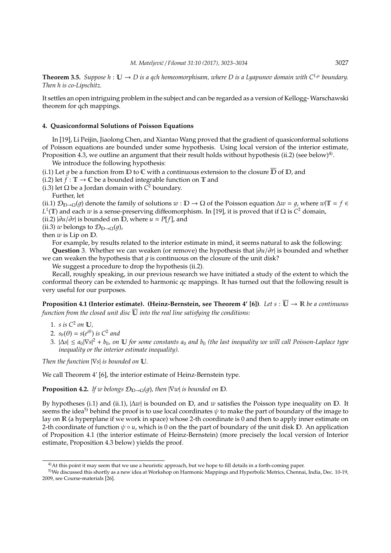**Theorem 3.5.** *Suppose h* :  $\mathbb{U} \to D$  *is a gch homeomorphisam, where D is a Lyapunov domain with*  $C^{1,\mu}$  *boundary. Then h is co-Lipschitz.*

It settles an open intriguing problem in the subject and can be regarded as a version of Kellogg- Warschawski theorem for qch mappings.

## **4. Quasiconformal Solutions of Poisson Equations**

In [19], Li Peijin, Jiaolong Chen, and Xiantao Wang proved that the gradient of quasiconformal solutions of Poisson equations are bounded under some hypothesis. Using local version of the interior estimate, Proposition 4.3, we outline an argument that their result holds without hypothesis (ii.2) (see below) $^{4)}$ .

We introduce the following hypothesis:

(i.1) Let q be a function from  $\mathbb D$  to  $\mathbb C$  with a continuous extension to the closure  $\mathbb D$  of  $\mathbb D$ , and

(i.2) let  $f : \mathbb{T} \to \mathbb{C}$  be a bounded integrable function on  $\mathbb{T}$  and

(i.3) let  $\Omega$  be a Jordan domain with  $C^2$  boundary.

Further, let

(ii.1)  $\mathcal{D}_{D\rightarrow\Omega}(q)$  denote the family of solutions  $w : D \rightarrow \Omega$  of the Poisson equation  $\Delta w = q$ , where  $w|T = f \in$ *L* 1 (T) and each *w* is a sense-preserving diffeomorphism. In [19], it is proved that if Ω is *C* <sup>2</sup> domain,

(ii.2) |∂*u*/∂*r*| is bounded on D, where *u* = *P*[*f*], and

(ii.3) *w* belongs to  $\mathcal{D}_{D\rightarrow\Omega}(q)$ ,

then *w* is Lip on D.

For example, by results related to the interior estimate in mind, it seems natural to ask the following: **Question** 3. Whether we can weaken (or remove) the hypothesis that |∂*u*/∂*r*| is bounded and whether we can weaken the hypothesis that  $q$  is continuous on the closure of the unit disk?

We suggest a procedure to drop the hypothesis (ii.2).

Recall, roughly speaking, in our previous research we have initiated a study of the extent to which the conformal theory can be extended to harmonic qc mappings. It has turned out that the following result is very useful for our purposes.

**Proposition 4.1 (Interior estimate). (Heinz-Bernstein, see Theorem 4' [6])***. Let s* :  $\overline{U} \rightarrow \mathbb{R}$  *be a continuous function from the closed unit disc*  $\overline{U}$  *into the real line satisfying the conditions:* 

- 1. *s is C*<sup>2</sup> *on* U*,*
- 2.  $s_b(\theta) = s(e^{i\theta})$  *is*  $C^2$  *and*
- 3. |∆*s*| ≤ *a*0|∇*s*| <sup>2</sup> + *b*0*, on* U *for some constants a*<sup>0</sup> *and b*<sup>0</sup> *(the last inequality we will call Poisson-Laplace type inequality or the interior estimate inequality).*

*Then the function* |∇*s*| *is bounded on* U*.*

We call Theorem 4' [6], the interior estimate of Heinz-Bernstein type.

**Proposition 4.2.** *If w belongs*  $\mathcal{D}_{D\to\Omega}(q)$ *, then*  $|\nabla w|$  *is bounded on*  $D$ *.* 

By hypotheses (i.1) and (ii.1), |∆*w*| is bounded on D, and *w* satisfies the Poisson type inequality on D. It seems the idea<sup>5)</sup> behind the proof is to use local coordinates  $\psi$  to make the part of boundary of the image to lay on R (a hyperplane if we work in space) whose 2-th coordinate is 0 and then to apply inner estimate on 2-th coordinate of function  $\psi \circ u$ , which is 0 on the the part of boundary of the unit disk D. An application of Proposition 4.1 (the interior estimate of Heinz-Bernstein) (more precisely the local version of Interior estimate, Proposition 4.3 below) yields the proof.

<sup>&</sup>lt;sup>4)</sup>At this point it may seem that we use a heuristic approach, but we hope to fill details in a forth-coming paper.

<sup>5)</sup>We discussed this shortly as a new idea at Workshop on Harmonic Mappings and Hyperbolic Metrics, Chennai, India, Dec. 10-19, 2009, see Course-materials [26].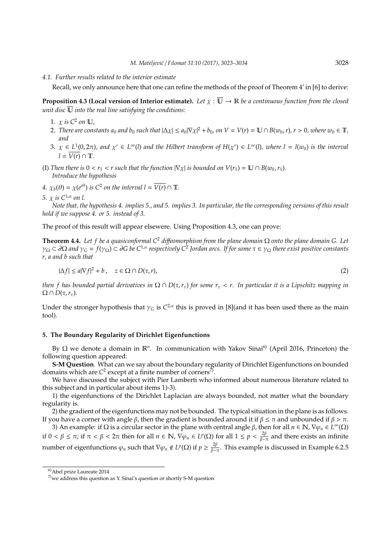#### *4.1. Further results related to the interior estimate*

Recall, we only announce here that one can refine the methods of the proof of Theorem 4' in [6] to derive:

**Proposition 4.3 (Local version of Interior estimate).** Let  $\chi : \overline{\mathbb{U}} \to \mathbb{R}$  be a continuous function from the closed *unit disc*  $\overline{U}$  *into the real line satisfying the conditions:* 

- 1.  $\chi$  is  $C^2$  on  $\mathbb{U}$ ,
- 2. *There are constants a*<sub>0</sub> *and b*<sub>0</sub> *such that*  $|\Delta \chi| \le a_0 |\nabla \chi|^2 + b_0$ , *on*  $V = V(r) = \mathbb{U} \cap B(w_0, r)$ ,  $r > 0$ , where  $w_0 \in \mathbb{T}$ , *and*
- $3. \ \chi \in L^1(0, 2\pi)$ , and  $\chi' \in L^{\infty}(l)$  and the Hilbert transform of  $H(\chi') \in L^{\infty}(l)$ , where  $l = l(w_0)$  is the interval  $l = \overline{V(r)} \cap \mathbb{T}$ .
- (I) Then there is  $0 < r_1 < r$  such that the function  $|\nabla \chi|$  is bounded on  $V(r_1) = \mathbb{U} \cap B(w_0, r_1)$ . *Introduce the hypothesis*

*4.*  $\chi_b(\theta) = \chi(e^{i\theta})$  *is*  $C^2$  *on the interval*  $l = \overline{V(r)} \cap \mathbb{T}$ *.* 

*5.* χ *is C*1,α *on l.*

*Note that, the hypothesis 4. implies 5., and 5. implies 3. In particular, the the corresponding versions of this result hold if we suppose 4. or 5. instead of 3.*

The proof of this result will appear elsewere. Using Proposition 4.3, one can prove:

**Theorem 4.4.** *Let f be a quasiconformal C*<sup>2</sup> *di*ff*eomorphism from the plane domain* Ω *onto the plane domain G. Let* γ<sup>Ω</sup> ⊂ ∂Ω *and* γ*<sup>G</sup>* = *f*(γΩ) ⊂ ∂*G be C*1,α *respectively C*<sup>2</sup> *Jordan arcs. If for some* τ ∈ γ<sup>Ω</sup> *there exist positive constants r, a and b such that*

$$
|\Delta f| \le a|\nabla f|^2 + b, \quad z \in \Omega \cap D(\tau, r), \tag{2}
$$

*then f has bounded partial derivatives in*  $\Omega \cap D(\tau, r_{\tau})$  *for some*  $r_{\tau} < r$ . In particular it is a Lipschitz mapping in  $Ω ∩ D(τ, r<sub>τ</sub>)$ *.* 

Under the stronger hypothesis that  $\gamma_G$  is  $C^{2,\alpha}$  this is proved in [8](and it has been used there as the main tool).

## **5. The Boundary Regularity of Dirichlet Eigenfunctions**

By Ω we denote a domain in R<sup>n</sup>. In communication with Yakov Sinai<sup>6)</sup> (April 2016, Princeton) the following question appeared:

**S-M Question**. What can we say about the boundary regularity of Dirichlet Eigenfunctions on bounded domains which are  $C^2$  except at a finite number of corners<sup>7)</sup>.

We have discussed the subject with Pier Lamberti who informed about numerous literature related to this subject and in particular about items 1)-3).

1) the eigenfunctions of the Dirichlet Laplacian are always bounded, not matter what the boundary regularity is.

2) the gradient of the eigenfunctions may not be bounded. The typical situation in the plane is as follows. If you have a corner with angle *β*, then the gradient is bounded around it if  $β ≤ π$  and unbounded if  $β > π$ .

3) An example: if Ω is a circular sector in the plane with central angle β, then for all  $n \in \mathbb{N}$ ,  $\nabla\varphi_n \in L^{\infty}(\Omega)$ if  $0 < \beta \leq \pi$ ; if  $\pi < \beta < 2\pi$  then for all  $n \in \mathbb{N}$ ,  $\nabla \varphi_n \in L^p(\Omega)$  for all  $1 \leq p < \frac{2\beta}{\beta - \pi}$  and there exists an infinite number of eigenfunctions  $\varphi_n$  such that  $\nabla \varphi_n \notin L^p(\Omega)$  if  $p \geq \frac{2\beta}{\beta - \pi}$ . This example is discussed in Example 6.2.5

<sup>6)</sup>Abel prize Laureate 2014

<sup>7)</sup>we address this question as Y. Sinai's question or shortly S-M question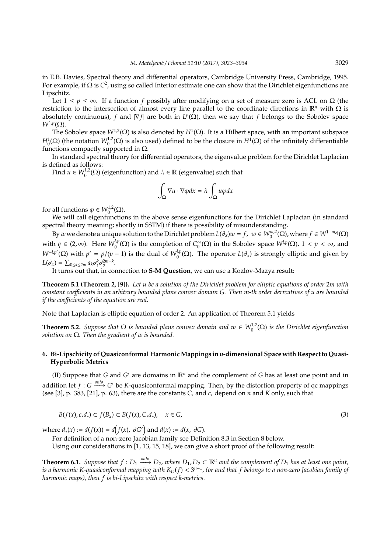in E.B. Davies, Spectral theory and differential operators, Cambridge University Press, Cambridge, 1995. For example, if Ω is *C* 2 , using so called Interior estimate one can show that the Dirichlet eigenfunctions are Lipschitz.

Let  $1 \le p \le \infty$ . If a function *f* possibly after modifying on a set of measure zero is ACL on  $\Omega$  (the restriction to the intersection of almost every line parallel to the coordinate directions in  $\mathbb{R}^n$  with Ω is absolutely continuous),  $f$  and  $|\nabla f|$  are both in  $L^p(\hat{\Omega})$ , then we say that  $f$  belongs to the Sobolev space  $W^{1,p}(\Omega)$ .

The Sobolev space  $W^{1,2}(\Omega)$  is also denoted by  $H^1(\Omega)$ . It is a Hilbert space, with an important subspace *H*<sup>1</sup><sub>0</sub></sub>(Ω) (the notation *W*<sub>0</sub><sup>-1</sup><sub>2</sub>(Ω) is also used) defined to be the closure in *H*<sup>1</sup>(Ω) of the infinitely differentiable functions compactly supported in Ω.

In standard spectral theory for differential operators, the eigenvalue problem for the Dirichlet Laplacian is defined as follows:

Find  $u \in W_0^{1,2}(\Omega)$  (eigenfunction) and  $\lambda \in \mathbb{R}$  (eigenvalue) such that

$$
\int_{\Omega} \nabla u \cdot \nabla \varphi dx = \lambda \int_{\Omega} u \varphi dx
$$

for all functions  $\varphi \in W_0^{1,2}(\Omega)$ .

We will call eigenfunctions in the above sense eigenfunctions for the Dirichlet Laplacian (in standard spectral theory meaning; shortly in SSTM) if there is possibility of misunderstanding.

By *w* we denote a unique solution to the Dirichlet problem  $L(\partial_x)w = f$ ,  $w \in W_0^{m,2}(\Omega)$ , where  $f \in W^{1-m,q}(\Omega)$ with  $q \in (2, \infty)$ . Here  $W_0^{l,p}$  $\binom{l,p}{0}$  (Ω) is the completion of  $C_0^{\infty}$  $\int_{0}^{\infty}$  (Ω) in the Sobolev space *W<sup>l,p</sup>*(Ω), 1 < *p* < ∞, and  $W^{-l,p'}(\Omega)$  with  $p' = p/(p-1)$  is the dual of  $W_0^{l,p}$  $\int_0^{t,p}$  (Ω). The operator  $L(\partial_x)$  is strongly elliptic and given by  $L(\partial_x) = \sum_{0 \le k \le 2m} a_k \partial_1^k \partial_2^{2m-k}.$ 

It turns out that, in connection to **S-M Question**, we can use a Kozlov-Mazya result:

**Theorem 5.1 (Theorem 2, [9]).** *Let u be a solution of the Dirichlet problem for elliptic equations of order* 2*m with constant coe*ffi*cients in an arbitrary bounded plane convex domain G. Then m-th order derivatives of u are bounded if the coe*ffi*cients of the equation are real.*

Note that Laplacian is elliptic equation of order 2. An application of Theorem 5.1 yields

**Theorem 5.2.** *Suppose that*  $\Omega$  *is bounded plane convex domain and*  $w \in W_0^{1,2}(\Omega)$  *is the Dirichlet eigenfunction solution on* Ω*. Then the gradient of w is bounded.*

# **6. Bi-Lipschicity of Quasiconformal HarmonicMappings in** *n***-dimensional Space with Respect to Quasi-Hyperbolic Metrics**

(II) Suppose that *G* and *G*' are domains in  $\mathbb{R}^n$  and the complement of *G* has at least one point and in addition let  $f: G \stackrel{onto}{\longrightarrow} G'$  be *K*-quasiconformal mapping. Then, by the distortion property of qc mappings (see [3], p. 383, [21], p. 63), there are the constants *C*<sup>∗</sup> and *c*<sup>∗</sup> depend on *n* and *K* only, such that

$$
B(f(x), c_*d_*) \subset f(B_x) \subset B(f(x), C_*d_*), \quad x \in G,
$$
\n
$$
(3)
$$

where  $d_*(x) := d(f(x)) = d(f(x), \partial G')$  and  $d(x) := d(x, \partial G)$ .

For definition of a non-zero Jacobian family see Definition 8.3 in Section 8 below.

Using our considerations in [1, 13, 15, 18], we can give a short proof of the following result:

**Theorem 6.1.** Suppose that  $f: D_1 \xrightarrow{onto} D_2$ , where  $D_1, D_2 \subset \mathbb{R}^n$  and the complement of  $D_1$  has at least one point, *is a harmonic K-quasiconformal mapping with KO*(*f*) < 3 *n*−1 *, (or and that f belongs to a non-zero Jacobian family of harmonic maps), then f is bi-Lipschitz with respect k-metrics.*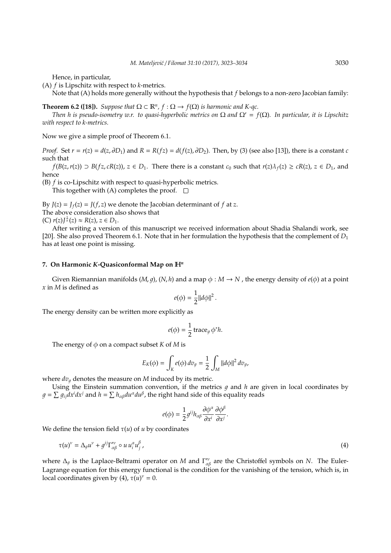Hence, in particular,

(A) *f* is Lipschitz with respect to *k*-metrics.

Note that (A) holds more generally without the hypothesis that *f* belongs to a non-zero Jacobian family:

**Theorem 6.2 ([18]).** *Suppose that*  $\Omega \subset \mathbb{R}^n$ ,  $f : \Omega \to f(\Omega)$  *is harmonic and K-qc.* 

*Then h is pseudo-isometry w.r. to quasi-hyperbolic metrics on*  $\Omega$  *and*  $\Omega' = f(\Omega)$ *. In particular, it is Lipschitz with respect to k-metrics.*

Now we give a simple proof of Theorem 6.1.

*Proof.* Set  $r = r(z) = d(z, \partial D_1)$  and  $R = R(fz) = d(f(z), \partial D_2)$ . Then, by (3) (see also [13]), there is a constant *c* such that

 $f(B(z, r(z)) \supset B(fz, cR(z)), z \in D_1$ . There there is a constant  $c_0$  such that  $r(z)\lambda_f(z) \ge cR(z), z \in D_1$ , and hence

(B) *f* is co-Lipschitz with respect to quasi-hyperbolic metrics.

This together with (A) completes the proof.  $\square$ 

By  $J(z) = J_f(z) = J(f, z)$  we denote the Jacobian determinant of f at *z*. The above consideration also shows that (C)  $r(z)J^{\frac{1}{n}}(z) \approx R(z)$ ,  $z \in D_1$ .

After writing a version of this manuscript we received information about Shadia Shalandi work, see [20]. She also proved Theorem 6.1. Note that in her formulation the hypothesis that the complement of *D*<sup>1</sup> has at least one point is missing.

#### **7. On Harmonic** *K***-Quasiconformal Map on** H*<sup>n</sup>*

Given Riemannian manifolds  $(M, q)$ ,  $(N, h)$  and a map  $\phi : M \to N$ , the energy density of  $e(\phi)$  at a point *x* in *M* is defined as

$$
e(\phi) = \frac{1}{2} ||d\phi||^2.
$$

The energy density can be written more explicitly as

$$
e(\phi) = \frac{1}{2} \operatorname{trace}_g \phi^* h.
$$

The energy of  $\phi$  on a compact subset *K* of *M* is

$$
E_K(\phi) = \int_K e(\phi) \, dv_g = \frac{1}{2} \int_M ||d\phi||^2 \, dv_g,
$$

where  $dv<sub>q</sub>$  denotes the measure on *M* induced by its metric.

Using the Einstein summation convention, if the metrics  $q$  and  $h$  are given in local coordinates by  $g = \sum g_{ij} dx^i dx^j$  and  $h = \sum h_{\alpha\beta} du^\alpha du^\beta$ , the right hand side of this equality reads

$$
e(\phi) = \frac{1}{2}g^{ij}h_{\alpha\beta}\frac{\partial\phi^{\alpha}}{\partial x^i}\frac{\partial\phi^{\beta}}{\partial x^j}.
$$

We define the tension field  $\tau(u)$  of *u* by coordinates

$$
\tau(u)^{\nu} = \Delta_g u^{\nu} + g^{ij} \Gamma^{\prime \nu}_{\alpha \beta} \circ u u^{\alpha}_{i} u^{\beta}_{j}, \qquad (4)
$$

where  $\Delta_g$  is the Laplace-Beltrami operator on *M* and  $\Gamma''_{\alpha\beta}$  are the Christoffel symbols on *N*. The Euler-Lagrange equation for this energy functional is the condition for the vanishing of the tension, which is, in local coordinates given by (4),  $\tau(u)^{\nu} = 0$ .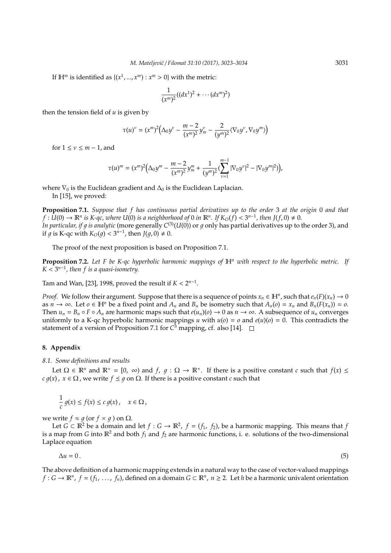If  $\mathbb{H}^m$  is identified as  $\{(x^1, ..., x^m) : x^m > 0\}$  with the metric:

$$
\frac{1}{(x^m)^2}((dx^1)^2 + \cdots (dx^m)^2)
$$

then the tension field of *u* is given by

$$
\tau(u)^{\nu} = (x^m)^2 \Big( \Delta_0 y^{\nu} - \frac{m-2}{(x^m)^2} y^{\nu}_m - \frac{2}{(y^m)^2} \langle \nabla_0 y^{\nu}, \nabla_0 y^m \rangle \Big)
$$

for  $1 \le v \le m - 1$ , and

$$
\tau(u)^m = (x^m)^2 \Big( \Delta_0 y^m - \frac{m-2}{(x^m)^2} y^m_m + \frac{1}{(y^m)^2} (\sum_{\nu=1}^{m-1} |\nabla_0 y^{\nu}|^2 - |\nabla_0 y^m|^2) \Big),
$$

where  $\nabla_0$  is the Euclidean gradient and  $\Delta_0$  is the Euclidean Laplacian.

In [15], we proved:

**Proposition 7.1.** *Suppose that f has continuous partial derivatives up to the order* 3 *at the origin* 0 *and that*  $f: \hat{U}(0) \to \mathbb{R}^n$  is K-qc, where  $U(0)$  is a neighborhood of 0 in  $\mathbb{R}^n$ . If  $K_O(f) < 3^{n-1}$ , then  $J(f, 0) \neq 0$ . *In particular, if*  $g$  *is analytic* (more generally  $C^{(3)}(U(0))$  or  $g$  only has partial derivatives up to the order 3), and if g is K-qc with  $K_O(g) < 3^{n-1}$ , then  $J(g, 0) \neq 0$ .

The proof of the next proposition is based on Proposition 7.1.

**Proposition 7.2.** *Let F be K-qc hyperbolic harmonic mappings of* H*<sup>n</sup> with respect to the hyperbolic metric. If*  $K \leq 3^{n-1}$ , then f is a quasi-isometry.

Tam and Wan, [23], 1998, proved the result if  $K < 2^{n-1}$ .

*Proof.* We follow their argument. Suppose that there is a sequence of points  $x_n \in \mathbb{H}^n$ , such that  $e_n(F)(x_n) \to 0$ as  $n \to \infty$ . Let  $o \in \mathbb{H}^n$  be a fixed point and  $A_n$  and  $B_n$  be isometry such that  $A_n(o) = x_n$  and  $B_n(F(x_n)) = o$ . Then  $u_n = B_n \circ F \circ A_n$  are harmonic maps such that  $e(u_n)(o) \to 0$  as  $n \to \infty$ . A subsequence of  $u_n$  converges uniformly to a K-qc hyperbolic harmonic mappings *u* with  $u(o) = o$  and  $e(u)(o) = 0$ . This contradicts the statement of a version of Proposition 7.1 for *C* <sup>3</sup> mapping, cf. also [14].

## **8. Appendix**

*8.1. Some definitions and results*

Let  $\Omega \in \mathbb{R}^n$  and  $\mathbb{R}^+ = [0, \infty)$  and  $f, g: \Omega \to \mathbb{R}^+$ . If there is a positive constant *c* such that  $f(x) \leq$ *c*  $q(x)$ ,  $x \in \Omega$ , we write  $f \leq q$  on  $\Omega$ . If there is a positive constant *c* such that

$$
\frac{1}{c} g(x) \le f(x) \le c g(x), \quad x \in \Omega,
$$

we write  $f \approx g$  (or  $f \times g$ ) on  $\Omega$ .

Let  $G \subset \mathbb{R}^2$  be a domain and let  $f: G \to \mathbb{R}^2$ ,  $f = (f_1, f_2)$ , be a harmonic mapping. This means that  $f$ is a map from *G* into  $\mathbb{R}^2$  and both  $f_1$  and  $f_2$  are harmonic functions, i. e. solutions of the two-dimensional Laplace equation

$$
\Delta u = 0. \tag{5}
$$

The above definition of a harmonic mapping extends in a natural way to the case of vector-valued mappings *f* : *G* →  $\mathbb{R}^n$ , *f* = (*f*<sub>1</sub>, ..., *f*<sub>n</sub>), defined on a domain *G* ⊂  $\mathbb{R}^n$ , *n* ≥ 2. Let *h* be a harmonic univalent orientation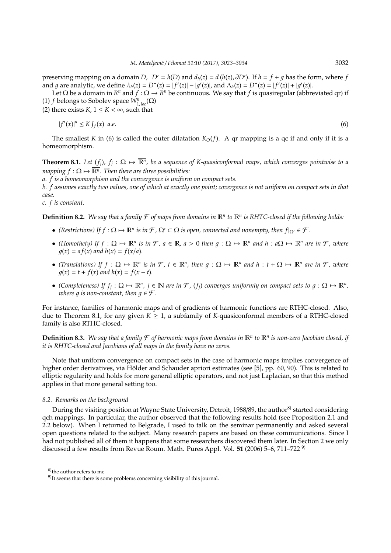preserving mapping on a domain *D*,  $D' = h(D)$  and  $d_h(z) = d(h(z), \partial D')$ . If  $h = f + \overline{g}$  has the form, where *f* and g are analytic, we define  $\lambda_h(z) = D^{-}(z) = |f'(z)| - |g'(z)|$ , and  $\Lambda_h(z) = D^{+}(z) = |f'(z)| + |g'(z)|$ .

Let  $\Omega$  be a domain in  $R^n$  and  $f : \Omega \to R^n$  be continuous. We say that  $f$  is quasiregular (abbreviated qr) if (1) *f* belongs to Sobolev space  $W_{1, loc}^n(\Omega)$ 

(2) there exists  $K$ ,  $1 \le K < \infty$ , such that

$$
|f'(x)|^n \le K J_f(x) \quad a.e. \tag{6}
$$

The smallest *K* in (6) is called the outer dilatation  $K_O(f)$ . A qr mapping is a qc if and only if it is a homeomorphism.

**Theorem 8.1.** Let  $(f_j)$ ,  $f_j: \Omega \mapsto \overline{\mathbb{R}^n}$ , be a sequence of K-quasiconformal maps, which converges pointwise to a *mapping*  $f : \Omega \mapsto \overline{\mathbb{R}^n}$ . Then there are three possibilities:

*a. f is a homeomorphism and the convergence is uniform on compact sets.*

*b. f assumes exactly two values, one of which at exactly one point; covergence is not uniform on compact sets in that case.*

*c. f is constant.*

**Definition 8.2.** We say that a family  $F$  of maps from domains in  $\mathbb{R}^n$  to  $\mathbb{R}^n$  is RHTC-closed if the following holds:

- *(Restrictions)* If  $f : \Omega \mapsto \mathbb{R}^n$  *is in*  $\mathcal{F}, \Omega' \subset \Omega$  *is open, connected and nonempty, then*  $f|_{\Omega'} \in \mathcal{F}$ *.*
- *(Homothety)* If  $f: \Omega \mapsto \mathbb{R}^n$  is in  $\mathcal{F}, a \in \mathbb{R}, a > 0$  then  $g: \Omega \mapsto \mathbb{R}^n$  and  $h: a\Omega \mapsto \mathbb{R}^n$  are in  $\mathcal{F}$ , where  $q(x) = af(x)$  and  $h(x) = f(x/a)$ .
- *(Translations)* If  $f : \Omega \mapsto \mathbb{R}^n$  *is in*  $\mathcal{F}, t \in \mathbb{R}^n$ , then  $g : \Omega \mapsto \mathbb{R}^n$  and  $h : t + \Omega \mapsto \mathbb{R}^n$  are in  $\mathcal{F}$ , where  $q(x) = t + f(x)$  and  $h(x) = f(x - t)$ .
- *(Completeness)* If  $f_j: \Omega \mapsto \mathbb{R}^n$ ,  $j \in \mathbb{N}$  are in  $\mathcal{F}$ ,  $(f_j)$  converges uniformly on compact sets to  $g: \Omega \mapsto \mathbb{R}^n$ , *where*  $q$  *is non-constant, then*  $q \in \mathcal{F}$ *.*

For instance, families of harmonic maps and of gradients of harmonic functions are RTHC-closed. Also, due to Theorem 8.1, for any given  $K \geq 1$ , a subfamily of *K*-quasiconformal members of a RTHC-closed family is also RTHC-closed.

**Definition 8.3.** We say that a family  $F$  of harmonic maps from domains in  $\mathbb{R}^n$  to  $\mathbb{R}^n$  is non-zero Jacobian closed, if *it is RHTC-closed and Jacobians of all maps in the family have no zeros.*

Note that uniform convergence on compact sets in the case of harmonic maps implies convergence of higher order derivatives, via Hölder and Schauder apriori estimates (see [5], pp. 60, 90). This is related to elliptic regularity and holds for more general elliptic operators, and not just Laplacian, so that this method applies in that more general setting too.

#### *8.2. Remarks on the background*

During the visiting position at Wayne State University, Detroit, 1988/89, the author<sup>8)</sup> started considering qch mappings. In particular, the author observed that the following results hold (see Proposition 2.1 and 2.2 below). When I returned to Belgrade, I used to talk on the seminar permanently and asked several open questions related to the subject. Many research papers are based on these communications. Since I had not published all of them it happens that some researchers discovered them later. In Section 2 we only discussed a few results from Revue Roum. Math. Pures Appl. Vol. **51** (2006) 5–6, 711–722 9)

<sup>8)</sup> the author refers to me

<sup>&</sup>lt;sup>9)</sup>It seems that there is some problems concerning visibility of this journal.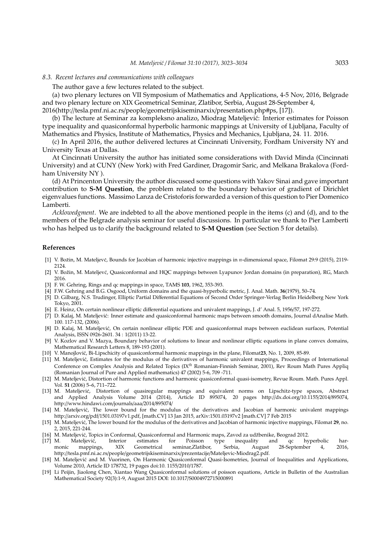#### *8.3. Recent lectures and communications with colleagues*

The author gave a few lectures related to the subject.

(a) two plenary lectures on VII Symposium of Mathematics and Applications, 4-5 Nov, 2016, Belgrade and two plenary lecture on XIX Geometrical Seminar, Zlatibor, Serbia, August 28-September 4,

2016(http://tesla.pmf.ni.ac.rs/people/geometrijskiseminarxix/presentation.php#ps, [17]).

(b) The lecture at Seminar za kompleksno analizo, Miodrag Mateljevic: Interior estimates for Poisson ´ type inequality and quasiconformal hyperbolic harmonic mappings at University of Ljubljana, Faculty of Mathematics and Physics, Institute of Mathematics, Physics and Mechanics, Ljubljana, 24. 11. 2016.

(c) In April 2016, the author delivered lectures at Cincinnati University, Fordham University NY and University Texas at Dallas.

At Cincinnati University the author has initiated some considerations with David Minda (Cincinnati University) and at CUNY (New York) with Fred Gardiner, Dragomir Saric, and Melkana Brakalova (Fordham University NY ).

(d) At Princenton University the author discussed some questions with Yakov Sinai and gave important contribution to **S-M Question**, the problem related to the boundary behavior of gradient of Dirichlet eigenvalues functions. Massimo Lanza de Cristoforis forwarded a version of this question to Pier Domenico Lamberti.

*Acklowedgment*. We are indebted to all the above mentioned people in the items (c) and (d), and to the members of the Belgrade analysis seminar for useful discussions. In particular we thank to Pier Lamberti who has helped us to clarify the background related to **S-M Question** (see Section 5 for details).

#### **References**

- [1] V. Božin, M. Mateljevć, Bounds for Jacobian of harmonic injective mappings in *n*-dimensional space, Filomat 29:9 (2015), 2119-2124.
- [2] V. Božin, M. Mateljevć, Quasiconformal and HQC mappings between Lyapunov Jordan domains (in preparation), RG, March 2016.
- [3] F. W. Gehring, Rings and qc mappings in space, TAMS **103**, 1962, 353-393.
- [4] F.W. Gehring and B.G. Osgood, Uniform domains and the quasi-hyperbolic metric, J. Anal. Math. **36**(1979), 50–74.
- [5] D. Gilbarg, N.S. Trudinger, Elliptic Partial Differential Equations of Second Order Springer-Verlag Berlin Heidelberg New York Tokyo, 2001.
- [6] E. Heinz, On certain nonlinear elliptic differential equations and univalent mappings, J. d' Anal. 5, 1956/57, 197-272.
- [7] D. Kalaj, M. Mateljevic: Inner estimate and quasiconformal harmonic maps between smooth domains, Journal dAnalise Math. ´ 100. 117-132, (2006).
- [8] D. Kalaj, M. Mateljevic, On certain nonlinear elliptic PDE and quasiconformal maps between euclidean surfaces, Potential ´ Analysis, ISSN 0926-2601. 34 : 1(2011) 13-22.
- [9] V. Kozlov and V. Mazya, Boundary behavior of solutions to linear and nonlinear elliptic equations in plane convex domains, Mathematical Research Letters 8, 189-193 (2001).
- [10] V. Manojlović, Bi-Lipschicity of quasiconformal harmonic mappings in the plane, Filomat 23, No. 1, 2009, 85-89.
- [11] M. Mateljevic, Estimates for the modulus of the derivatives of harmonic univalent mappings, Proceedings of International ´ Conference on Complex Analysis and Related Topics (IX*th* Romanian-Finnish Seminar, 2001), Rev Roum Math Pures Appliq (Romanian Journal of Pure and Applied mathematics) 47 (2002) 5-6, 709 -711.
- [12] M. Mateljevic, Distortion of harmonic functions and harmonic quasiconformal quasi-isometry, Revue Roum. Math. Pures Appl. ´ Vol. **51** (2006) 5–6, 711–722.
- [13] M. Mateljevic, Distortion of quasiregular mappings and equivalent norms on Lipschitz-type spaces, Abstract ´ Article ID 895074, 20 pages http://dx.doi.org/10.1155/2014/895074, http://www.hindawi.com/journals/aaa/2014/895074/
- [14] M. Mateljevic, The lower bound for the modulus of the derivatives and Jacobian of harmonic univalent mappings ´ http://arxiv.org/pdf/1501.03197v1.pdf, [math.CV] 13 Jan 2015, arXiv:1501.03197v2 [math.CV] 7 Feb 2015
- [15] M. Mateljevic, The lower bound for the modulus of the derivatives and Jacobian of harmonic injective mappings, Filomat ´ **29**, no. 2, 2015, 221-244.
- 
- [16] M. Mateljević, Topics in Conformal, Quasiconformal and Harmonic maps, Zavod za udžbenike, Beograd 2012.<br>[17] M. Mateljević, Interior estimates for Poisson type inequality and qc hyperbolic [17] M. Mateljevic, Interior estimates for Poisson type inequality and qc hyperbolic har- ´ monic mappings, XIX Geometrical seminar,Zlatibor, Serbia, August 28-September 4, 2016, http://tesla.pmf.ni.ac.rs/people/geometrijskiseminarxix/prezentacije/Mateljevic-Miodrag2.pdf.
- [18] M. Mateljevic and M. Vuorinen, On Harmonic Quasiconformal Quasi-Isometries, Journal of Inequalities and Applications, ´ Volume 2010, Article ID 178732, 19 pages doi:10. 1155/2010/1787.
- [19] Li Peijin, Jiaolong Chen, Xiantao Wang Quasiconformal solutions of poisson equations, Article in Bulletin of the Australian Mathematical Society 92(3):1-9, August 2015 DOI: 10.1017/S0004972715000891